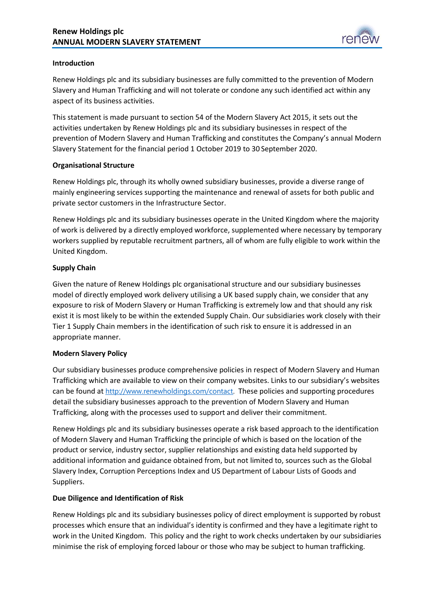

### **Introduction**

Renew Holdings plc and its subsidiary businesses are fully committed to the prevention of Modern Slavery and Human Trafficking and will not tolerate or condone any such identified act within any aspect of its business activities.

This statement is made pursuant to section 54 of the Modern Slavery Act 2015, it sets out the activities undertaken by Renew Holdings plc and its subsidiary businesses in respect of the prevention of Modern Slavery and Human Trafficking and constitutes the Company's annual Modern Slavery Statement for the financial period 1 October 2019 to 30 September 2020.

### **Organisational Structure**

Renew Holdings plc, through its wholly owned subsidiary businesses, provide a diverse range of mainly engineering services supporting the maintenance and renewal of assets for both public and private sector customers in the Infrastructure Sector.

Renew Holdings plc and its subsidiary businesses operate in the United Kingdom where the majority of work is delivered by a directly employed workforce, supplemented where necessary by temporary workers supplied by reputable recruitment partners, all of whom are fully eligible to work within the United Kingdom.

## **Supply Chain**

Given the nature of Renew Holdings plc organisational structure and our subsidiary businesses model of directly employed work delivery utilising a UK based supply chain, we consider that any exposure to risk of Modern Slavery or Human Trafficking is extremely low and that should any risk exist it is most likely to be within the extended Supply Chain. Our subsidiaries work closely with their Tier 1 Supply Chain members in the identification of such risk to ensure it is addressed in an appropriate manner.

## **Modern Slavery Policy**

Our subsidiary businesses produce comprehensive policies in respect of Modern Slavery and Human Trafficking which are available to view on their company websites. Links to our subsidiary's websites can be found at [http://www.renewholdings.com/contact.](http://www.renewholdings.com/contact) These policies and supporting procedures detail the subsidiary businesses approach to the prevention of Modern Slavery and Human Trafficking, along with the processes used to support and deliver their commitment.

Renew Holdings plc and its subsidiary businesses operate a risk based approach to the identification of Modern Slavery and Human Trafficking the principle of which is based on the location of the product or service, industry sector, supplier relationships and existing data held supported by additional information and guidance obtained from, but not limited to, sources such as the Global Slavery Index, Corruption Perceptions Index and US Department of Labour Lists of Goods and Suppliers.

## **Due Diligence and Identification of Risk**

Renew Holdings plc and its subsidiary businesses policy of direct employment is supported by robust processes which ensure that an individual's identity is confirmed and they have a legitimate right to work in the United Kingdom. This policy and the right to work checks undertaken by our subsidiaries minimise the risk of employing forced labour or those who may be subject to human trafficking.